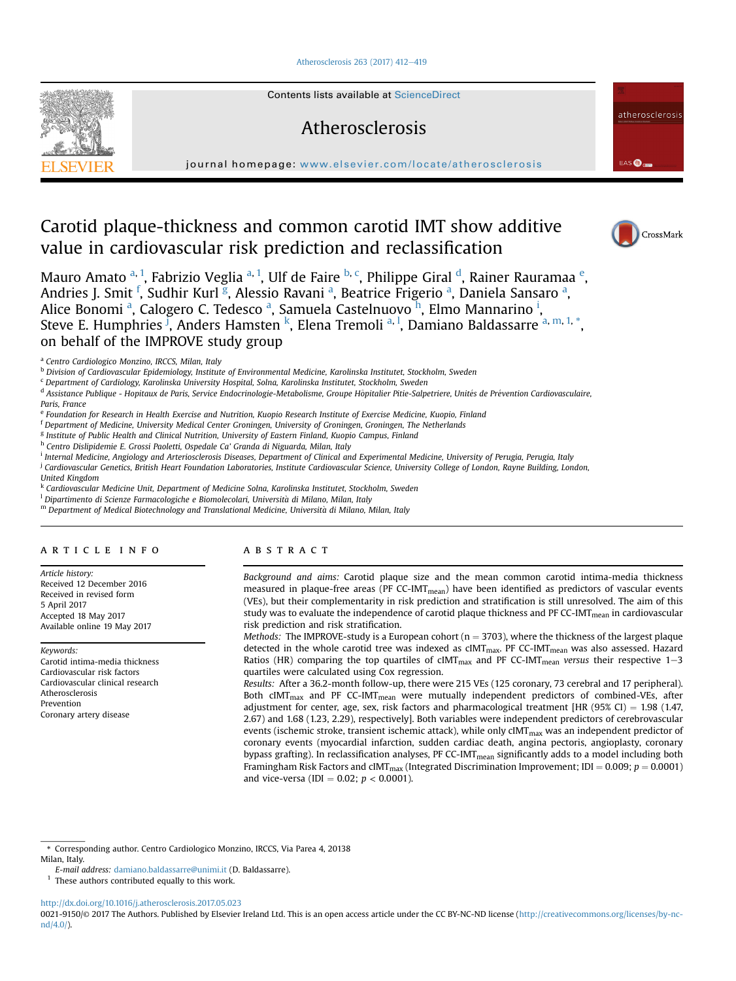# [Atherosclerosis 263 \(2017\) 412](http://dx.doi.org/10.1016/j.atherosclerosis.2017.05.023)-[419](http://dx.doi.org/10.1016/j.atherosclerosis.2017.05.023)



Contents lists available at ScienceDirect

# Atherosclerosis

journal homepage: [www.elsevier.com/locate/atherosclerosis](http://www.elsevier.com/locate/atherosclerosis)

# Carotid plaque-thickness and common carotid IMT show additive value in cardiovascular risk prediction and reclassification



atherosclerosis

EAS **O** 

Mauro Amato <sup>a, 1</sup>, Fabrizio Veglia <sup>a, 1</sup>, Ulf de Faire <sup>b, c</sup>, Philippe Giral <sup>d</sup>, Rainer Rauramaa <sup>e</sup>, Andries J. Smit <sup>f</sup>, Sudhir Kurl <sup>g</sup>, Alessio Ravani <sup>a</sup>, Beatrice Frigerio <sup>a</sup>, Daniela Sansaro <sup>a</sup>, Alice Bonomi <sup>a</sup>, Calogero C. Tedesco <sup>a</sup>, Samuela Castelnuovo <sup>h</sup>, Elmo Mannarino <sup>i</sup>, Steve E. Humphries <sup>j</sup>, Anders Hamsten <sup>k</sup>, Elena Tremoli <sup>a, l</sup>, Damiano Baldassarre <sup>a, m, 1,</sup> \*, on behalf of the IMPROVE study group

<sup>c</sup> Department of Cardiology, Karolinska University Hospital, Solna, Karolinska Institutet, Stockholm, Sweden

<sup>d</sup> Assistance Publique - Hopitaux de Paris, Service Endocrinologie-Metabolisme, Groupe Hôpitalier Pitie-Salpetriere, Unités de Prévention Cardiovasculaire, Paris, France

e Foundation for Research in Health Exercise and Nutrition, Kuopio Research Institute of Exercise Medicine, Kuopio, Finland

<sup>f</sup> Department of Medicine, University Medical Center Groningen, University of Groningen, Groningen, The Netherlands

<sup>g</sup> Institute of Public Health and Clinical Nutrition, University of Eastern Finland, Kuopio Campus, Finland

<sup>i</sup> Internal Medicine, Angiology and Arteriosclerosis Diseases, Department of Clinical and Experimental Medicine, University of Perugia, Perugia, Italy

<sup>j</sup> Cardiovascular Genetics, British Heart Foundation Laboratories, Institute Cardiovascular Science, University College of London, Rayne Building, London,

United Kingdom

<sup>k</sup> Cardiovascular Medicine Unit, Department of Medicine Solna, Karolinska Institutet, Stockholm, Sweden

 $<sup>1</sup>$  Dipartimento di Scienze Farmacologiche e Biomolecolari, Università di Milano, Milan, Italy</sup>

m Department of Medical Biotechnology and Translational Medicine, Università di Milano, Milan, Italy

# article info

Article history: Received 12 December 2016 Received in revised form 5 April 2017 Accepted 18 May 2017 Available online 19 May 2017

#### Keywords:

Carotid intima-media thickness Cardiovascular risk factors Cardiovascular clinical research Atherosclerosis Prevention Coronary artery disease

## **ABSTRACT**

Background and aims: Carotid plaque size and the mean common carotid intima-media thickness measured in plaque-free areas (PF CC-IMT<sub>mean</sub>) have been identified as predictors of vascular events (VEs), but their complementarity in risk prediction and stratification is still unresolved. The aim of this study was to evaluate the independence of carotid plaque thickness and PF CC-IMT<sub>mean</sub> in cardiovascular risk prediction and risk stratification.

*Methods:* The IMPROVE-study is a European cohort ( $n = 3703$ ), where the thickness of the largest plaque detected in the whole carotid tree was indexed as cIMT<sub>max</sub>. PF CC-IMT<sub>mean</sub> was also assessed. Hazard Ratios (HR) comparing the top quartiles of cIMT<sub>max</sub> and PF CC-IMT<sub>mean</sub> versus their respective  $1-3$ quartiles were calculated using Cox regression.

Results: After a 36.2-month follow-up, there were 215 VEs (125 coronary, 73 cerebral and 17 peripheral). Both cIMTmax and PF CC-IMTmean were mutually independent predictors of combined-VEs, after adjustment for center, age, sex, risk factors and pharmacological treatment [HR (95% CI) = 1.98 (1.47, 2.67) and 1.68 (1.23, 2.29), respectively]. Both variables were independent predictors of cerebrovascular events (ischemic stroke, transient ischemic attack), while only cIMT<sub>max</sub> was an independent predictor of coronary events (myocardial infarction, sudden cardiac death, angina pectoris, angioplasty, coronary bypass grafting). In reclassification analyses, PF CC-IMT $_{mean}$  significantly adds to a model including both Framingham Risk Factors and cIMT<sub>max</sub> (Integrated Discrimination Improvement; IDI = 0.009;  $p = 0.0001$ ) and vice-versa (IDI =  $0.02$ ;  $p < 0.0001$ ).

\* Corresponding author. Centro Cardiologico Monzino, IRCCS, Via Parea 4, 20138 Milan, Italy.

<http://dx.doi.org/10.1016/j.atherosclerosis.2017.05.023>

0021-9150/© 2017 The Authors. Published by Elsevier Ireland Ltd. This is an open access article under the CC BY-NC-ND license [\(http://creativecommons.org/licenses/by-nc](http://creativecommons.org/licenses/by-nc-nd/4.0/)[nd/4.0/](http://creativecommons.org/licenses/by-nc-nd/4.0/)).

<sup>&</sup>lt;sup>a</sup> Centro Cardiologico Monzino, IRCCS, Milan, Italy

<sup>b</sup> Division of Cardiovascular Epidemiology, Institute of Environmental Medicine, Karolinska Institutet, Stockholm, Sweden

<sup>h</sup> Centro Dislipidemie E. Grossi Paoletti, Ospedale Ca' Granda di Niguarda, Milan, Italy

E-mail address: [damiano.baldassarre@unimi.it](mailto:damiano.baldassarre@unimi.it) (D. Baldassarre).

 $1$  These authors contributed equally to this work.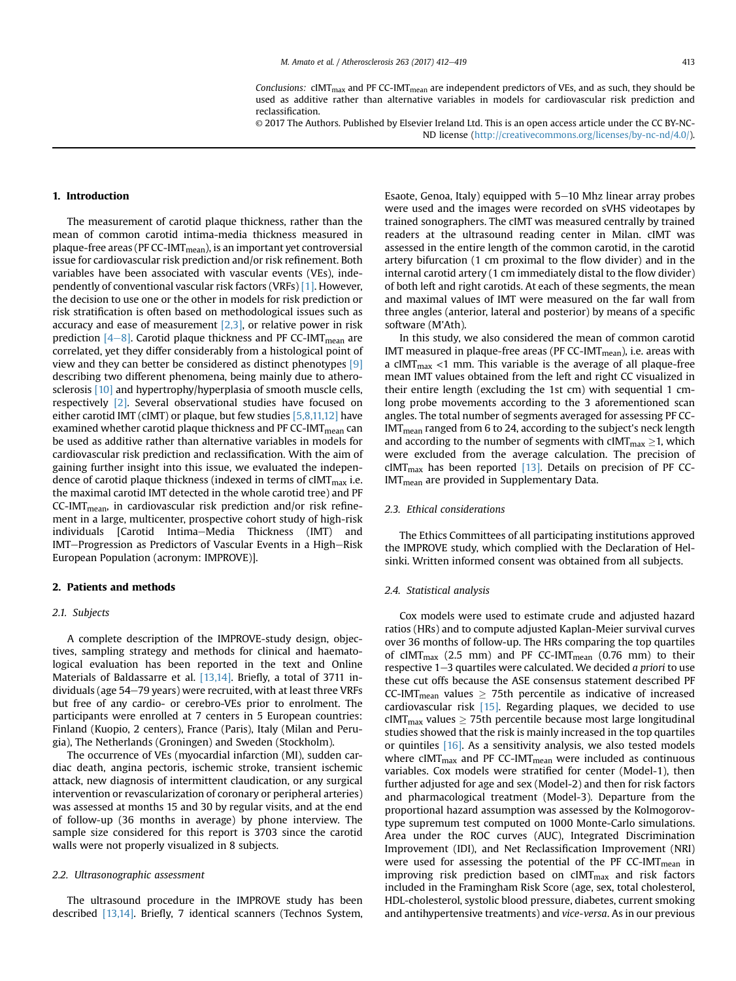Conclusions:  $\text{clMT}_{\text{max}}$  and PF CC-IMT<sub>mean</sub> are independent predictors of VEs, and as such, they should be used as additive rather than alternative variables in models for cardiovascular risk prediction and reclassification.

© 2017 The Authors. Published by Elsevier Ireland Ltd. This is an open access article under the CC BY-NC-ND license [\(http://creativecommons.org/licenses/by-nc-nd/4.0/](http://creativecommons.org/licenses/by-nc-nd/4.0/)).

# 1. Introduction

The measurement of carotid plaque thickness, rather than the mean of common carotid intima-media thickness measured in plaque-free areas (PF CC-IMT $_{\text{mean}}$ ), is an important yet controversial issue for cardiovascular risk prediction and/or risk refinement. Both variables have been associated with vascular events (VEs), independently of conventional vascular risk factors (VRFs) [\[1\]](#page-6-0). However, the decision to use one or the other in models for risk prediction or risk stratification is often based on methodological issues such as accuracy and ease of measurement  $[2,3]$ , or relative power in risk prediction  $[4-8]$  $[4-8]$ . Carotid plaque thickness and PF CC-IMT<sub>mean</sub> are correlated, yet they differ considerably from a histological point of view and they can better be considered as distinct phenotypes [\[9\]](#page-6-0) describing two different phenomena, being mainly due to athero-sclerosis [\[10\]](#page-6-0) and hypertrophy/hyperplasia of smooth muscle cells, respectively [\[2\].](#page-6-0) Several observational studies have focused on either carotid IMT (cIMT) or plaque, but few studies [\[5,8,11,12\]](#page-6-0) have examined whether carotid plaque thickness and PF CC-IMT<sub>mean</sub> can be used as additive rather than alternative variables in models for cardiovascular risk prediction and reclassification. With the aim of gaining further insight into this issue, we evaluated the independence of carotid plaque thickness (indexed in terms of  $clMT<sub>max</sub>$  i.e. the maximal carotid IMT detected in the whole carotid tree) and PF  $CC$ -IMT<sub>mean</sub>, in cardiovascular risk prediction and/or risk refinement in a large, multicenter, prospective cohort study of high-risk individuals [Carotid Intima-Media Thickness (IMT) and IMT-Progression as Predictors of Vascular Events in a High-Risk European Population (acronym: IMPROVE)].

## 2. Patients and methods

## 2.1. Subjects

A complete description of the IMPROVE-study design, objectives, sampling strategy and methods for clinical and haematological evaluation has been reported in the text and Online Materials of Baldassarre et al. [\[13,14\].](#page-6-0) Briefly, a total of 3711 individuals (age 54–79 years) were recruited, with at least three VRFs but free of any cardio- or cerebro-VEs prior to enrolment. The participants were enrolled at 7 centers in 5 European countries: Finland (Kuopio, 2 centers), France (Paris), Italy (Milan and Perugia), The Netherlands (Groningen) and Sweden (Stockholm).

The occurrence of VEs (myocardial infarction (MI), sudden cardiac death, angina pectoris, ischemic stroke, transient ischemic attack, new diagnosis of intermittent claudication, or any surgical intervention or revascularization of coronary or peripheral arteries) was assessed at months 15 and 30 by regular visits, and at the end of follow-up (36 months in average) by phone interview. The sample size considered for this report is 3703 since the carotid walls were not properly visualized in 8 subjects.

# 2.2. Ultrasonographic assessment

The ultrasound procedure in the IMPROVE study has been described [\[13,14\]](#page-6-0). Briefly, 7 identical scanners (Technos System, Esaote, Genoa, Italy) equipped with  $5-10$  Mhz linear array probes were used and the images were recorded on sVHS videotapes by trained sonographers. The cIMT was measured centrally by trained readers at the ultrasound reading center in Milan. cIMT was assessed in the entire length of the common carotid, in the carotid artery bifurcation (1 cm proximal to the flow divider) and in the internal carotid artery (1 cm immediately distal to the flow divider) of both left and right carotids. At each of these segments, the mean and maximal values of IMT were measured on the far wall from three angles (anterior, lateral and posterior) by means of a specific software (M'Ath).

In this study, we also considered the mean of common carotid IMT measured in plaque-free areas (PF CC-IMT $_{\text{mean}}$ ), i.e. areas with a cIMT $_{\text{max}}$  <1 mm. This variable is the average of all plaque-free mean IMT values obtained from the left and right CC visualized in their entire length (excluding the 1st cm) with sequential 1 cmlong probe movements according to the 3 aforementioned scan angles. The total number of segments averaged for assessing PF CC-IMT<sub>mean</sub> ranged from 6 to 24, according to the subject's neck length and according to the number of segments with  $\text{cIMT}_{\text{max}} \geq 1$ , which were excluded from the average calculation. The precision of  $clMT_{max}$  has been reported [\[13\]](#page-6-0). Details on precision of PF CC-IMT<sub>mean</sub> are provided in Supplementary Data.

# 2.3. Ethical considerations

The Ethics Committees of all participating institutions approved the IMPROVE study, which complied with the Declaration of Helsinki. Written informed consent was obtained from all subjects.

## 2.4. Statistical analysis

Cox models were used to estimate crude and adjusted hazard ratios (HRs) and to compute adjusted Kaplan-Meier survival curves over 36 months of follow-up. The HRs comparing the top quartiles of cIMT<sub>max</sub> (2.5 mm) and PF CC-IMT<sub>mean</sub> (0.76 mm) to their respective  $1-3$  quartiles were calculated. We decided a priori to use these cut offs because the ASE consensus statement described PF  $CC-IMIT_{mean}$  values  $\geq$  75th percentile as indicative of increased cardiovascular risk [\[15\]](#page-6-0). Regarding plaques, we decided to use  $\text{cIMT}_{\text{max}}$  values  $\geq 75$ th percentile because most large longitudinal studies showed that the risk is mainly increased in the top quartiles or quintiles [\[16\].](#page-6-0) As a sensitivity analysis, we also tested models where  $CIMT<sub>max</sub>$  and PF CC-IMT<sub>mean</sub> were included as continuous variables. Cox models were stratified for center (Model-1), then further adjusted for age and sex (Model-2) and then for risk factors and pharmacological treatment (Model-3). Departure from the proportional hazard assumption was assessed by the Kolmogorovtype supremum test computed on 1000 Monte-Carlo simulations. Area under the ROC curves (AUC), Integrated Discrimination Improvement (IDI), and Net Reclassification Improvement (NRI) were used for assessing the potential of the PF CC-IMT $_{\text{mean}}$  in improving risk prediction based on  $clMT<sub>max</sub>$  and risk factors included in the Framingham Risk Score (age, sex, total cholesterol, HDL-cholesterol, systolic blood pressure, diabetes, current smoking and antihypertensive treatments) and vice-versa. As in our previous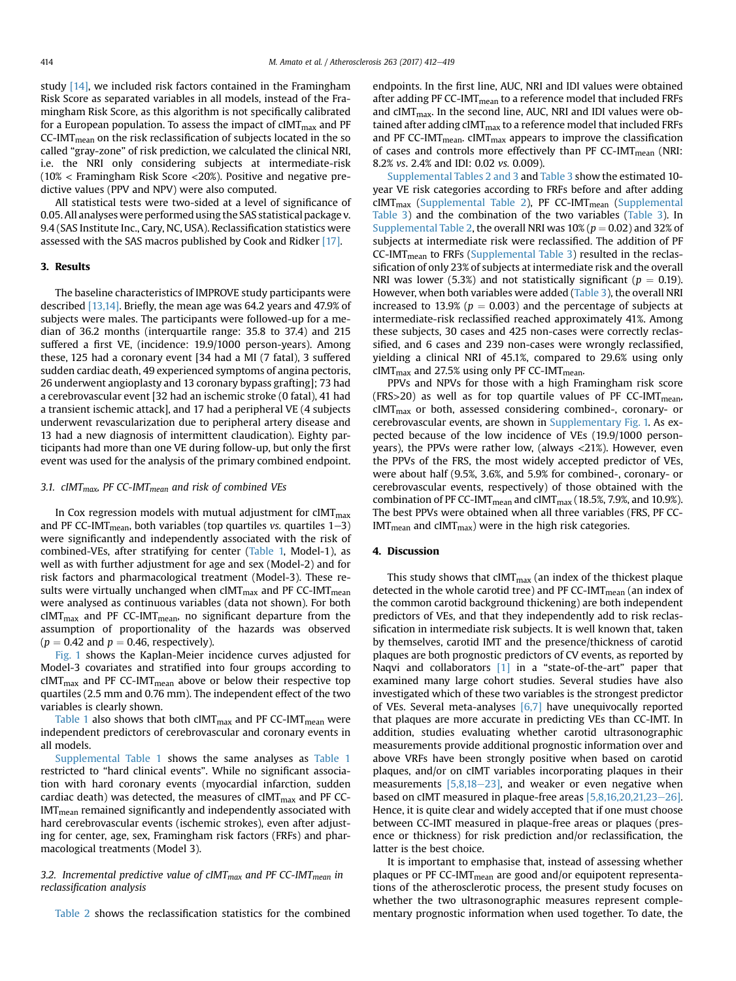study [\[14\]](#page-6-0), we included risk factors contained in the Framingham Risk Score as separated variables in all models, instead of the Framingham Risk Score, as this algorithm is not specifically calibrated for a European population. To assess the impact of  $clMT<sub>max</sub>$  and PF  $CC$ -IMT<sub>mean</sub> on the risk reclassification of subjects located in the so called "gray-zone" of risk prediction, we calculated the clinical NRI, i.e. the NRI only considering subjects at intermediate-risk (10% < Framingham Risk Score <20%). Positive and negative predictive values (PPV and NPV) were also computed.

All statistical tests were two-sided at a level of significance of 0.05. All analyses were performed using the SAS statistical package v. 9.4 (SAS Institute Inc., Cary, NC, USA). Reclassification statistics were assessed with the SAS macros published by Cook and Ridker [\[17\]](#page-6-0).

#### 3. Results

The baseline characteristics of IMPROVE study participants were described [\[13,14\]](#page-6-0). Briefly, the mean age was 64.2 years and 47.9% of subjects were males. The participants were followed-up for a median of 36.2 months (interquartile range: 35.8 to 37.4) and 215 suffered a first VE, (incidence: 19.9/1000 person-years). Among these, 125 had a coronary event [34 had a MI (7 fatal), 3 suffered sudden cardiac death, 49 experienced symptoms of angina pectoris, 26 underwent angioplasty and 13 coronary bypass grafting]; 73 had a cerebrovascular event [32 had an ischemic stroke (0 fatal), 41 had a transient ischemic attack], and 17 had a peripheral VE (4 subjects underwent revascularization due to peripheral artery disease and 13 had a new diagnosis of intermittent claudication). Eighty participants had more than one VE during follow-up, but only the first event was used for the analysis of the primary combined endpoint.

# 3.1.  $clMT_{max}$ , PF CC-IMT<sub>mean</sub> and risk of combined VEs

In Cox regression models with mutual adjustment for  $clMT<sub>max</sub>$ and PF CC-IMT<sub>mean</sub>, both variables (top quartiles *vs.* quartiles  $1-3$ ) were significantly and independently associated with the risk of combined-VEs, after stratifying for center ([Table 1,](#page-3-0) Model-1), as well as with further adjustment for age and sex (Model-2) and for risk factors and pharmacological treatment (Model-3). These results were virtually unchanged when  $clMT<sub>max</sub>$  and PF CC-IMT<sub>mean</sub> were analysed as continuous variables (data not shown). For both  $clMT<sub>max</sub>$  and PF CC-IMT<sub>mean</sub>, no significant departure from the assumption of proportionality of the hazards was observed  $(p = 0.42$  and  $p = 0.46$ , respectively).

[Fig. 1](#page-3-0) shows the Kaplan-Meier incidence curves adjusted for Model-3 covariates and stratified into four groups according to  $cIMT<sub>max</sub>$  and PF CC-IMT<sub>mean</sub> above or below their respective top quartiles (2.5 mm and 0.76 mm). The independent effect of the two variables is clearly shown.

[Table 1](#page-3-0) also shows that both  $cIMT<sub>max</sub>$  and PF CC-IMT<sub>mean</sub> were independent predictors of cerebrovascular and coronary events in all models.

Supplemental Table 1 shows the same analyses as [Table 1](#page-3-0) restricted to "hard clinical events". While no significant association with hard coronary events (myocardial infarction, sudden cardiac death) was detected, the measures of  $clMT<sub>max</sub>$  and PF CC- $IMT<sub>mean</sub>$  remained significantly and independently associated with hard cerebrovascular events (ischemic strokes), even after adjusting for center, age, sex, Framingham risk factors (FRFs) and pharmacological treatments (Model 3).

# 3.2. Incremental predictive value of cIMT $_{max}$  and PF CC-IMT $_{mean}$  in reclassification analysis

[Table 2](#page-3-0) shows the reclassification statistics for the combined

endpoints. In the first line, AUC, NRI and IDI values were obtained after adding PF CC-IMT<sub>mean</sub> to a reference model that included FRFs and  $cIMT<sub>max</sub>$ . In the second line, AUC, NRI and IDI values were obtained after adding  $clMT<sub>max</sub>$  to a reference model that included FRFs and PF CC-IMT $_{\text{mean}}$ . cIMT $_{\text{max}}$  appears to improve the classification of cases and controls more effectively than PF CC-IMT $_{\text{mean}}$  (NRI: 8.2% vs. 2.4% and IDI: 0.02 vs. 0.009).

Supplemental Tables 2 and 3 and [Table 3](#page-4-0) show the estimated 10 year VE risk categories according to FRFs before and after adding cIMT<sub>max</sub> (Supplemental Table 2), PF CC-IMT<sub>mean</sub> (Supplemental Table 3) and the combination of the two variables [\(Table 3\)](#page-4-0). In Supplemental Table 2, the overall NRI was  $10\%$  ( $p = 0.02$ ) and 32% of subjects at intermediate risk were reclassified. The addition of PF  $CC$ -IMT<sub>mean</sub> to FRFs (Supplemental Table 3) resulted in the reclassification of only 23% of subjects at intermediate risk and the overall NRI was lower (5.3%) and not statistically significant ( $p = 0.19$ ). However, when both variables were added [\(Table 3](#page-4-0)), the overall NRI increased to 13.9% ( $p = 0.003$ ) and the percentage of subjects at intermediate-risk reclassified reached approximately 41%. Among these subjects, 30 cases and 425 non-cases were correctly reclassified, and 6 cases and 239 non-cases were wrongly reclassified, yielding a clinical NRI of 45.1%, compared to 29.6% using only  $clMT<sub>max</sub>$  and 27.5% using only PF CC-IMT<sub>mean</sub>.

PPVs and NPVs for those with a high Framingham risk score  $(FRS > 20)$  as well as for top quartile values of PF CC-IMT<sub>mean</sub>,  $clMT<sub>max</sub>$  or both, assessed considering combined-, coronary- or cerebrovascular events, are shown in Supplementary Fig. 1. As expected because of the low incidence of VEs (19.9/1000 personyears), the PPVs were rather low, (always <21%). However, even the PPVs of the FRS, the most widely accepted predictor of VEs, were about half (9.5%, 3.6%, and 5.9% for combined-, coronary- or cerebrovascular events, respectively) of those obtained with the combination of PF CC-IMT<sub>mean</sub> and cIMT<sub>max</sub> (18.5%, 7.9%, and 10.9%). The best PPVs were obtained when all three variables (FRS, PF CC- $IMT_{mean}$  and cIMT<sub>max</sub>) were in the high risk categories.

# 4. Discussion

This study shows that  $clMT<sub>max</sub>$  (an index of the thickest plaque detected in the whole carotid tree) and PF CC-IMT<sub>mean</sub> (an index of the common carotid background thickening) are both independent predictors of VEs, and that they independently add to risk reclassification in intermediate risk subjects. It is well known that, taken by themselves, carotid IMT and the presence/thickness of carotid plaques are both prognostic predictors of CV events, as reported by Naqvi and collaborators [\[1\]](#page-6-0) in a "state-of-the-art" paper that examined many large cohort studies. Several studies have also investigated which of these two variables is the strongest predictor of VEs. Several meta-analyses  $[6,7]$  have unequivocally reported that plaques are more accurate in predicting VEs than CC-IMT. In addition, studies evaluating whether carotid ultrasonographic measurements provide additional prognostic information over and above VRFs have been strongly positive when based on carotid plaques, and/or on cIMT variables incorporating plaques in their measurements  $[5,8,18-23]$  $[5,8,18-23]$ , and weaker or even negative when based on cIMT measured in plaque-free areas  $[5,8,16,20,21,23-26]$  $[5,8,16,20,21,23-26]$ . Hence, it is quite clear and widely accepted that if one must choose between CC-IMT measured in plaque-free areas or plaques (presence or thickness) for risk prediction and/or reclassification, the latter is the best choice.

It is important to emphasise that, instead of assessing whether plaques or PF CC-IMT<sub>mean</sub> are good and/or equipotent representations of the atherosclerotic process, the present study focuses on whether the two ultrasonographic measures represent complementary prognostic information when used together. To date, the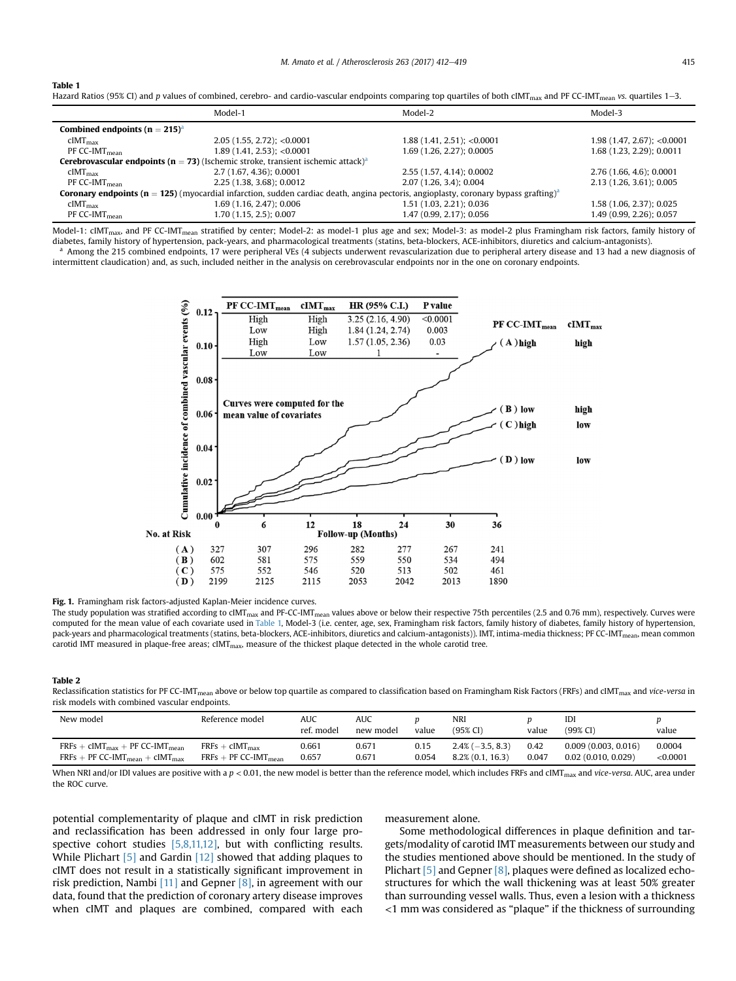<span id="page-3-0"></span>Hazard Ratios (95% CI) and p values of combined, cerebro- and cardio-vascular endpoints comparing top quartiles of both cIMT<sub>max</sub> and PF CC-IMT<sub>mean</sub> vs. quartiles 1-3.

|                                                                                                                                                        | Model-1                      | Model-2                    | Model-3                    |  |  |  |  |  |
|--------------------------------------------------------------------------------------------------------------------------------------------------------|------------------------------|----------------------------|----------------------------|--|--|--|--|--|
| Combined endpoints ( $n = 215$ ) <sup>a</sup>                                                                                                          |                              |                            |                            |  |  |  |  |  |
| clMT <sub>max</sub>                                                                                                                                    | $2.05$ (1.55, 2.72); <0.0001 | 1.88(1.41, 2.51); < 0.0001 | 1.98(1.47, 2.67); < 0.0001 |  |  |  |  |  |
| $PF$ CC-IMT <sub>mean</sub>                                                                                                                            | 1.89(1.41, 2.53); < 0.0001   | 1.69 (1.26, 2.27); 0.0005  | 1.68 (1.23, 2.29); 0.0011  |  |  |  |  |  |
| <b>Cerebrovascular endpoints (n = 73)</b> (Ischemic stroke, transient ischemic attack) <sup>a</sup>                                                    |                              |                            |                            |  |  |  |  |  |
| clMT <sub>max</sub>                                                                                                                                    | 2.7 (1.67, 4.36); 0.0001     | 2.55 (1.57, 4.14); 0.0002  | 2.76 (1.66, 4.6); 0.0001   |  |  |  |  |  |
| $PF$ CC-IMT <sub>mean</sub>                                                                                                                            | 2.25 (1.38, 3.68); 0.0012    | 2.07(1.26, 3.4); 0.004     | 2.13 (1.26, 3.61); 0.005   |  |  |  |  |  |
| <b>Coronary endpoints (n = 125)</b> (myocardial infarction, sudden cardiac death, angina pectoris, angioplasty, coronary bypass grafting) <sup>a</sup> |                              |                            |                            |  |  |  |  |  |
| clMT <sub>max</sub>                                                                                                                                    | 1.69 (1.16, 2.47); 0.006     | 1.51 (1.03, 2.21); 0.036   | 1.58 (1.06, 2.37); 0.025   |  |  |  |  |  |
| $PF$ CC-IMT <sub>mean</sub>                                                                                                                            | 1.70 (1.15, 2.5); 0.007      | 1.47 (0.99, 2.17); 0.056   | 1.49 (0.99, 2.26); 0.057   |  |  |  |  |  |

Model-1: cIMT<sub>max</sub>, and PF CC-IMT<sub>mean</sub> stratified by center; Model-2: as model-1 plus age and sex; Model-3: as model-2 plus Framingham risk factors, family history of diabetes, family history of hypertension, pack-years, and pharmacological treatments (statins, beta-blockers, ACE-inhibitors, diuretics and calcium-antagonists). <sup>a</sup> Among the 215 combined endpoints, 17 were peripheral VEs (4 subjects underwent revascularization due to peripheral artery disease and 13 had a new diagnosis of

intermittent claudication) and, as such, included neither in the analysis on cerebrovascular endpoints nor in the one on coronary endpoints.



Fig. 1. Framingham risk factors-adjusted Kaplan-Meier incidence curves.

The study population was stratified according to cIMT<sub>max</sub> and PF-CC-IMT<sub>mean</sub> values above or below their respective 75th percentiles (2.5 and 0.76 mm), respectively. Curves were computed for the mean value of each covariate used in Table 1, Model-3 (i.e. center, age, sex, Framingham risk factors, family history of diabetes, family history of hypertension, pack-years and pharmacological treatments (statins, beta-blockers, ACE-inhibitors, diuretics and calcium-antagonists)). IMT, intima-media thickness; PF CC-IMT<sub>mean</sub>, mean common carotid IMT measured in plaque-free areas;  $clMT<sub>max</sub>$ , measure of the thickest plaque detected in the whole carotid tree.

Table 2

Reclassification statistics for PF CC-IMT<sub>mean</sub> above or below top quartile as compared to classification based on Framingham Risk Factors (FRFs) and cIMT<sub>max</sub> and vice-versa in risk models with combined vascular endpoints.

| New model                              | Reference model           | <b>AUC</b><br>ref. model | <b>AUC</b><br>new model | value | <b>NRI</b><br>(95% CI) | value | IDI<br>(99% CI)     | value    |
|----------------------------------------|---------------------------|--------------------------|-------------------------|-------|------------------------|-------|---------------------|----------|
| $FRFs + clMTmax + PF CC-IMTmean$       | $FRFs + clMTmax$          | 0.661                    | 0.671                   | 0.15  | $2.4\%(-3.5, 8.3)$     | 0.42  | 0.009(0.003, 0.016) | 0.0004   |
| $FRFs + PF CC-IMT_{mean} + cIMT_{max}$ | $FRFs + PF CC-IMT_{mean}$ | 0.657                    | 0.671                   | 0.054 | $8.2\%$ (0.1, 16.3)    | 0.047 | 0.02(0.010, 0.029)  | < 0.0001 |

When NRI and/or IDI values are positive with a  $p < 0.01$ , the new model is better than the reference model, which includes FRFs and cIMT<sub>max</sub> and vice-versa. AUC, area under the ROC curve.

potential complementarity of plaque and cIMT in risk prediction and reclassification has been addressed in only four large prospective cohort studies [\[5,8,11,12\],](#page-6-0) but with conflicting results. While Plichart [\[5\]](#page-6-0) and Gardin [\[12\]](#page-6-0) showed that adding plaques to cIMT does not result in a statistically significant improvement in risk prediction, Nambi [\[11\]](#page-6-0) and Gepner [\[8\],](#page-6-0) in agreement with our data, found that the prediction of coronary artery disease improves when cIMT and plaques are combined, compared with each measurement alone.

Some methodological differences in plaque definition and targets/modality of carotid IMT measurements between our study and the studies mentioned above should be mentioned. In the study of Plichart [\[5\]](#page-6-0) and Gepner [\[8\],](#page-6-0) plaques were defined as localized echostructures for which the wall thickening was at least 50% greater than surrounding vessel walls. Thus, even a lesion with a thickness <1 mm was considered as "plaque" if the thickness of surrounding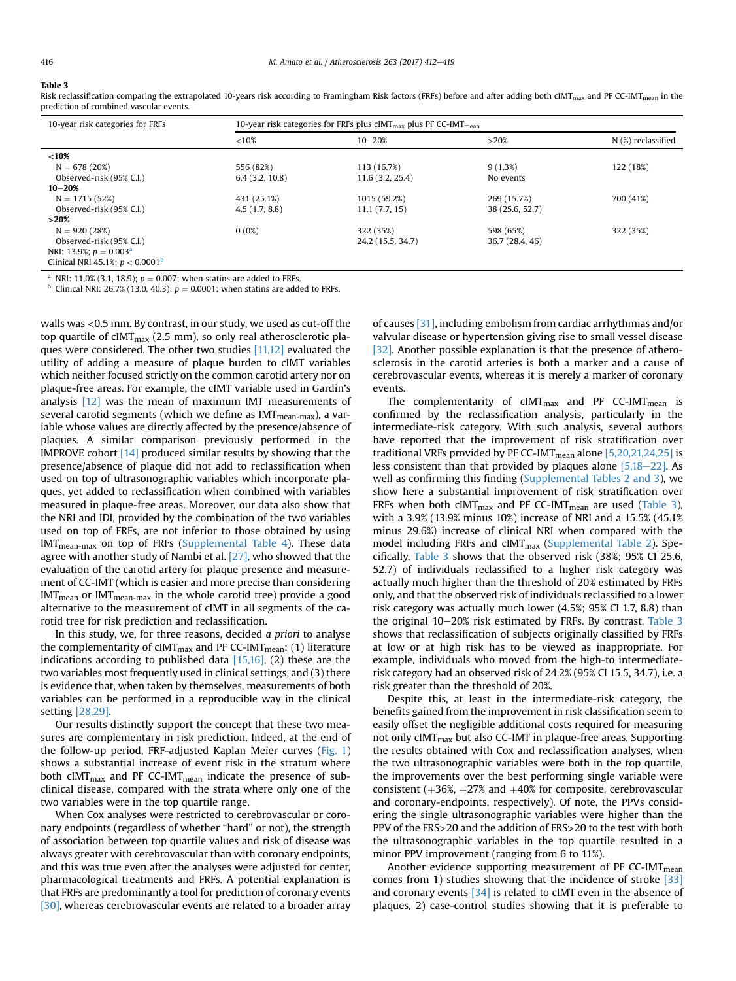#### <span id="page-4-0"></span>Table 3

Risk reclassification comparing the extrapolated 10-years risk according to Framingham Risk factors (FRFs) before and after adding both cIMT<sub>max</sub> and PF CC-IMT<sub>mean</sub> in the prediction of combined vascular events.

| 10-year risk categories for FRFs         | 10-year risk categories for FRFs plus $cIMTmax$ plus PF CC-IMT <sub>mean</sub> |                   |                 |                    |  |  |
|------------------------------------------|--------------------------------------------------------------------------------|-------------------|-----------------|--------------------|--|--|
|                                          | < 10%                                                                          | $10 - 20%$        | >20%            | N (%) reclassified |  |  |
| $< 10\%$                                 |                                                                                |                   |                 |                    |  |  |
| $N = 678(20%)$                           | 556 (82%)                                                                      | 113 (16.7%)       | 9(1.3%)         | 122 (18%)          |  |  |
| Observed-risk (95% C.I.)                 | 6.4(3.2, 10.8)                                                                 | 11.6(3.2, 25.4)   | No events       |                    |  |  |
| $10 - 20%$                               |                                                                                |                   |                 |                    |  |  |
| $N = 1715(52%)$                          | 431 (25.1%)                                                                    | 1015 (59.2%)      | 269 (15.7%)     | 700 (41%)          |  |  |
| Observed-risk (95% C.I.)                 | 4.5(1.7, 8.8)                                                                  | 11.1(7.7, 15)     | 38 (25.6, 52.7) |                    |  |  |
| >20%                                     |                                                                                |                   |                 |                    |  |  |
| $N = 920(28%)$                           | 0(0%)                                                                          | 322 (35%)         | 598 (65%)       | 322 (35%)          |  |  |
| Observed-risk (95% C.I.)                 |                                                                                | 24.2 (15.5, 34.7) | 36.7 (28.4, 46) |                    |  |  |
| NRI: 13.9%; $p = 0.003a$                 |                                                                                |                   |                 |                    |  |  |
| Clinical NRI 45.1%; $p < 0.0001^{\rm b}$ |                                                                                |                   |                 |                    |  |  |

<sup>a</sup> NRI: 11.0% (3.1, 18.9);  $p = 0.007$ ; when statins are added to FRFs.<br><sup>b</sup> Clinical NRI: 26.7% (13.0, 40.3);  $p = 0.0001$ ; when statins are added to FRFs.

walls was <0.5 mm. By contrast, in our study, we used as cut-off the top quartile of cIMT $_{\text{max}}$  (2.5 mm), so only real atherosclerotic plaques were considered. The other two studies [\[11,12\]](#page-6-0) evaluated the utility of adding a measure of plaque burden to cIMT variables which neither focused strictly on the common carotid artery nor on plaque-free areas. For example, the cIMT variable used in Gardin's analysis [\[12\]](#page-6-0) was the mean of maximum IMT measurements of several carotid segments (which we define as  $IMT_{mean-max}$ ), a variable whose values are directly affected by the presence/absence of plaques. A similar comparison previously performed in the IMPROVE cohort [\[14\]](#page-6-0) produced similar results by showing that the presence/absence of plaque did not add to reclassification when used on top of ultrasonographic variables which incorporate plaques, yet added to reclassification when combined with variables measured in plaque-free areas. Moreover, our data also show that the NRI and IDI, provided by the combination of the two variables used on top of FRFs, are not inferior to those obtained by using IMT<sub>mean-max</sub> on top of FRFs (Supplemental Table 4). These data agree with another study of Nambi et al. [\[27\]](#page-6-0), who showed that the evaluation of the carotid artery for plaque presence and measurement of CC-IMT (which is easier and more precise than considering IMT<sub>mean</sub> or IMT<sub>mean-max</sub> in the whole carotid tree) provide a good alternative to the measurement of cIMT in all segments of the carotid tree for risk prediction and reclassification.

In this study, we, for three reasons, decided a priori to analyse the complementarity of cIMT $_{\text{max}}$  and PF CC-IMT $_{\text{mean}}$ : (1) literature indications according to published data [\[15,16\],](#page-6-0) (2) these are the two variables most frequently used in clinical settings, and (3) there is evidence that, when taken by themselves, measurements of both variables can be performed in a reproducible way in the clinical setting [\[28,29\].](#page-6-0)

Our results distinctly support the concept that these two measures are complementary in risk prediction. Indeed, at the end of the follow-up period, FRF-adjusted Kaplan Meier curves ([Fig. 1\)](#page-3-0) shows a substantial increase of event risk in the stratum where both cIMT $_{\text{max}}$  and PF CC-IMT $_{\text{mean}}$  indicate the presence of subclinical disease, compared with the strata where only one of the two variables were in the top quartile range.

When Cox analyses were restricted to cerebrovascular or coronary endpoints (regardless of whether "hard" or not), the strength of association between top quartile values and risk of disease was always greater with cerebrovascular than with coronary endpoints, and this was true even after the analyses were adjusted for center, pharmacological treatments and FRFs. A potential explanation is that FRFs are predominantly a tool for prediction of coronary events [\[30\]](#page-6-0), whereas cerebrovascular events are related to a broader array of causes [\[31\]](#page-6-0), including embolism from cardiac arrhythmias and/or valvular disease or hypertension giving rise to small vessel disease [\[32\]](#page-6-0). Another possible explanation is that the presence of atherosclerosis in the carotid arteries is both a marker and a cause of cerebrovascular events, whereas it is merely a marker of coronary events.

The complementarity of  $clMT_{max}$  and PF CC-IMT<sub>mean</sub> is confirmed by the reclassification analysis, particularly in the intermediate-risk category. With such analysis, several authors have reported that the improvement of risk stratification over traditional VRFs provided by PF CC-IMT<sub>mean</sub> alone  $[5,20,21,24,25]$  is less consistent than that provided by plaques alone  $[5,18-22]$  $[5,18-22]$  $[5,18-22]$ . As well as confirming this finding (Supplemental Tables 2 and 3), we show here a substantial improvement of risk stratification over FRFs when both cIMT $_{\text{max}}$  and PF CC-IMT $_{\text{mean}}$  are used (Table 3), with a 3.9% (13.9% minus 10%) increase of NRI and a 15.5% (45.1% minus 29.6%) increase of clinical NRI when compared with the model including FRFs and cIMT $_{\text{max}}$  (Supplemental Table 2). Specifically, Table 3 shows that the observed risk (38%; 95% CI 25.6, 52.7) of individuals reclassified to a higher risk category was actually much higher than the threshold of 20% estimated by FRFs only, and that the observed risk of individuals reclassified to a lower risk category was actually much lower (4.5%; 95% CI 1.7, 8.8) than the original  $10-20\%$  risk estimated by FRFs. By contrast, Table 3 shows that reclassification of subjects originally classified by FRFs at low or at high risk has to be viewed as inappropriate. For example, individuals who moved from the high-to intermediaterisk category had an observed risk of 24.2% (95% CI 15.5, 34.7), i.e. a risk greater than the threshold of 20%.

Despite this, at least in the intermediate-risk category, the benefits gained from the improvement in risk classification seem to easily offset the negligible additional costs required for measuring not only cIMT<sub>max</sub> but also CC-IMT in plaque-free areas. Supporting the results obtained with Cox and reclassification analyses, when the two ultrasonographic variables were both in the top quartile, the improvements over the best performing single variable were consistent  $(+36\%, +27\%)$  and  $+40\%$  for composite, cerebrovascular and coronary-endpoints, respectively). Of note, the PPVs considering the single ultrasonographic variables were higher than the PPV of the FRS>20 and the addition of FRS>20 to the test with both the ultrasonographic variables in the top quartile resulted in a minor PPV improvement (ranging from 6 to 11%).

Another evidence supporting measurement of PF CC-IMT $_{\text{mean}}$ comes from 1) studies showing that the incidence of stroke [\[33\]](#page-6-0) and coronary events  $[34]$  is related to cIMT even in the absence of plaques, 2) case-control studies showing that it is preferable to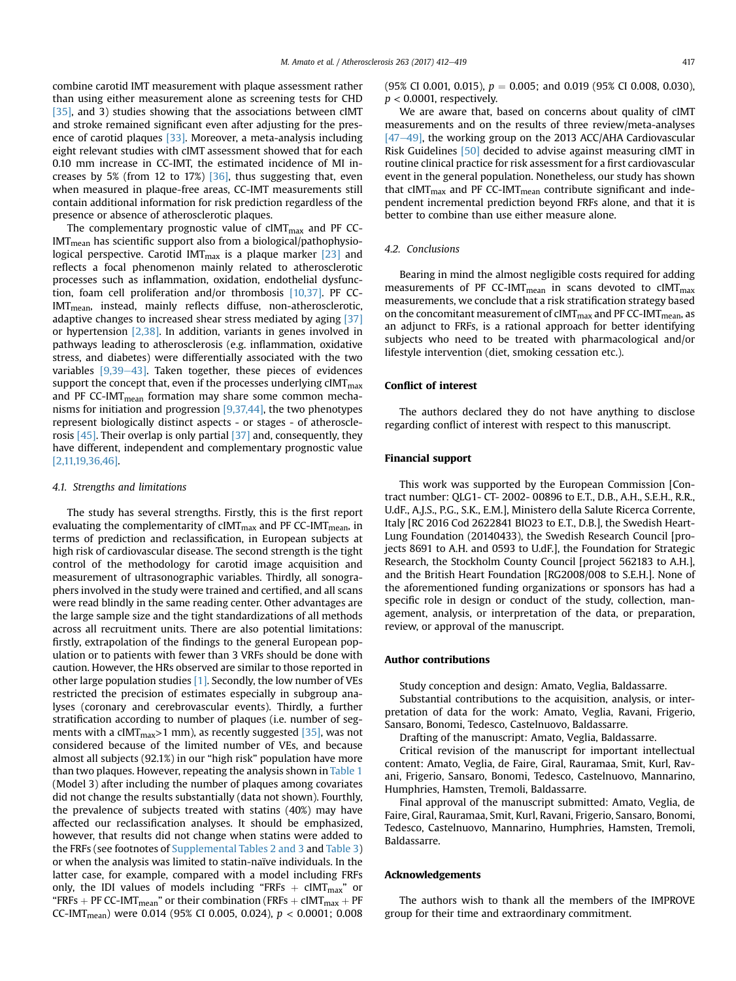combine carotid IMT measurement with plaque assessment rather than using either measurement alone as screening tests for CHD [\[35\],](#page-6-0) and 3) studies showing that the associations between cIMT and stroke remained significant even after adjusting for the presence of carotid plaques [\[33\].](#page-6-0) Moreover, a meta-analysis including eight relevant studies with cIMT assessment showed that for each 0.10 mm increase in CC-IMT, the estimated incidence of MI increases by 5% (from 12 to 17%) [\[36\],](#page-6-0) thus suggesting that, even when measured in plaque-free areas, CC-IMT measurements still contain additional information for risk prediction regardless of the presence or absence of atherosclerotic plaques.

The complementary prognostic value of  $clMT<sub>max</sub>$  and PF CC-IMTmean has scientific support also from a biological/pathophysio-logical perspective. Carotid IMT<sub>max</sub> is a plaque marker [\[23\]](#page-6-0) and reflects a focal phenomenon mainly related to atherosclerotic processes such as inflammation, oxidation, endothelial dysfunction, foam cell proliferation and/or thrombosis [\[10,37\]](#page-6-0). PF CC-IMT<sub>mean</sub>, instead, mainly reflects diffuse, non-atherosclerotic, adaptive changes to increased shear stress mediated by aging [\[37\]](#page-6-0) or hypertension [\[2,38\].](#page-6-0) In addition, variants in genes involved in pathways leading to atherosclerosis (e.g. inflammation, oxidative stress, and diabetes) were differentially associated with the two variables  $[9,39-43]$  $[9,39-43]$ . Taken together, these pieces of evidences support the concept that, even if the processes underlying  $clMT<sub>max</sub>$ and PF CC-IMT $_{\text{mean}}$  formation may share some common mechanisms for initiation and progression [\[9,37,44\]](#page-6-0), the two phenotypes represent biologically distinct aspects - or stages - of atherosclerosis [\[45\].](#page-6-0) Their overlap is only partial [\[37\]](#page-6-0) and, consequently, they have different, independent and complementary prognostic value [\[2,11,19,36,46\]](#page-6-0).

## 4.1. Strengths and limitations

The study has several strengths. Firstly, this is the first report evaluating the complementarity of  $clMT<sub>max</sub>$  and PF CC-IMT<sub>mean</sub>, in terms of prediction and reclassification, in European subjects at high risk of cardiovascular disease. The second strength is the tight control of the methodology for carotid image acquisition and measurement of ultrasonographic variables. Thirdly, all sonographers involved in the study were trained and certified, and all scans were read blindly in the same reading center. Other advantages are the large sample size and the tight standardizations of all methods across all recruitment units. There are also potential limitations: firstly, extrapolation of the findings to the general European population or to patients with fewer than 3 VRFs should be done with caution. However, the HRs observed are similar to those reported in other large population studies [\[1\].](#page-6-0) Secondly, the low number of VEs restricted the precision of estimates especially in subgroup analyses (coronary and cerebrovascular events). Thirdly, a further stratification according to number of plaques (i.e. number of segments with a cIMT $_{\text{max}}$ >1 mm), as recently suggested [\[35\],](#page-6-0) was not considered because of the limited number of VEs, and because almost all subjects (92.1%) in our "high risk" population have more than two plaques. However, repeating the analysis shown in [Table 1](#page-3-0) (Model 3) after including the number of plaques among covariates did not change the results substantially (data not shown). Fourthly, the prevalence of subjects treated with statins (40%) may have affected our reclassification analyses. It should be emphasized, however, that results did not change when statins were added to the FRFs (see footnotes of Supplemental Tables 2 and 3 and [Table 3\)](#page-4-0) or when the analysis was limited to statin-naïve individuals. In the latter case, for example, compared with a model including FRFs only, the IDI values of models including "FRFs  $+$  cIMT<sub>max</sub>" or "FRFs + PF CC-IMT<sub>mean</sub>" or their combination (FRFs + cIMT<sub>max</sub> + PF CC-IMT<sub>mean</sub>) were 0.014 (95% CI 0.005, 0.024),  $p < 0.0001$ ; 0.008 (95% CI 0.001, 0.015),  $p = 0.005$ ; and 0.019 (95% CI 0.008, 0.030),  $p < 0.0001$ , respectively.

We are aware that, based on concerns about quality of cIMT measurements and on the results of three review/meta-analyses [\[47](#page-6-0)-[49\],](#page-6-0) the working group on the 2013 ACC/AHA Cardiovascular Risk Guidelines [\[50\]](#page-7-0) decided to advise against measuring cIMT in routine clinical practice for risk assessment for a first cardiovascular event in the general population. Nonetheless, our study has shown that  $cIMT<sub>max</sub>$  and PF CC-IMT<sub>mean</sub> contribute significant and independent incremental prediction beyond FRFs alone, and that it is better to combine than use either measure alone.

# 4.2. Conclusions

Bearing in mind the almost negligible costs required for adding measurements of PF CC-IMT $_{\text{mean}}$  in scans devoted to cIMT $_{\text{max}}$ measurements, we conclude that a risk stratification strategy based on the concomitant measurement of  $cIMT<sub>max</sub>$  and PF CC-IMT<sub>mean</sub>, as an adjunct to FRFs, is a rational approach for better identifying subjects who need to be treated with pharmacological and/or lifestyle intervention (diet, smoking cessation etc.).

## Conflict of interest

The authors declared they do not have anything to disclose regarding conflict of interest with respect to this manuscript.

# Financial support

This work was supported by the European Commission [Contract number: QLG1- CT- 2002- 00896 to E.T., D.B., A.H., S.E.H., R.R., U.dF., A.J.S., P.G., S.K., E.M.], Ministero della Salute Ricerca Corrente, Italy [RC 2016 Cod 2622841 BIO23 to E.T., D.B.], the Swedish Heart-Lung Foundation (20140433), the Swedish Research Council [projects 8691 to A.H. and 0593 to U.dF.], the Foundation for Strategic Research, the Stockholm County Council [project 562183 to A.H.], and the British Heart Foundation [RG2008/008 to S.E.H.]. None of the aforementioned funding organizations or sponsors has had a specific role in design or conduct of the study, collection, management, analysis, or interpretation of the data, or preparation, review, or approval of the manuscript.

# Author contributions

Study conception and design: Amato, Veglia, Baldassarre.

Substantial contributions to the acquisition, analysis, or interpretation of data for the work: Amato, Veglia, Ravani, Frigerio, Sansaro, Bonomi, Tedesco, Castelnuovo, Baldassarre.

Drafting of the manuscript: Amato, Veglia, Baldassarre.

Critical revision of the manuscript for important intellectual content: Amato, Veglia, de Faire, Giral, Rauramaa, Smit, Kurl, Ravani, Frigerio, Sansaro, Bonomi, Tedesco, Castelnuovo, Mannarino, Humphries, Hamsten, Tremoli, Baldassarre.

Final approval of the manuscript submitted: Amato, Veglia, de Faire, Giral, Rauramaa, Smit, Kurl, Ravani, Frigerio, Sansaro, Bonomi, Tedesco, Castelnuovo, Mannarino, Humphries, Hamsten, Tremoli, Baldassarre.

## Acknowledgements

The authors wish to thank all the members of the IMPROVE group for their time and extraordinary commitment.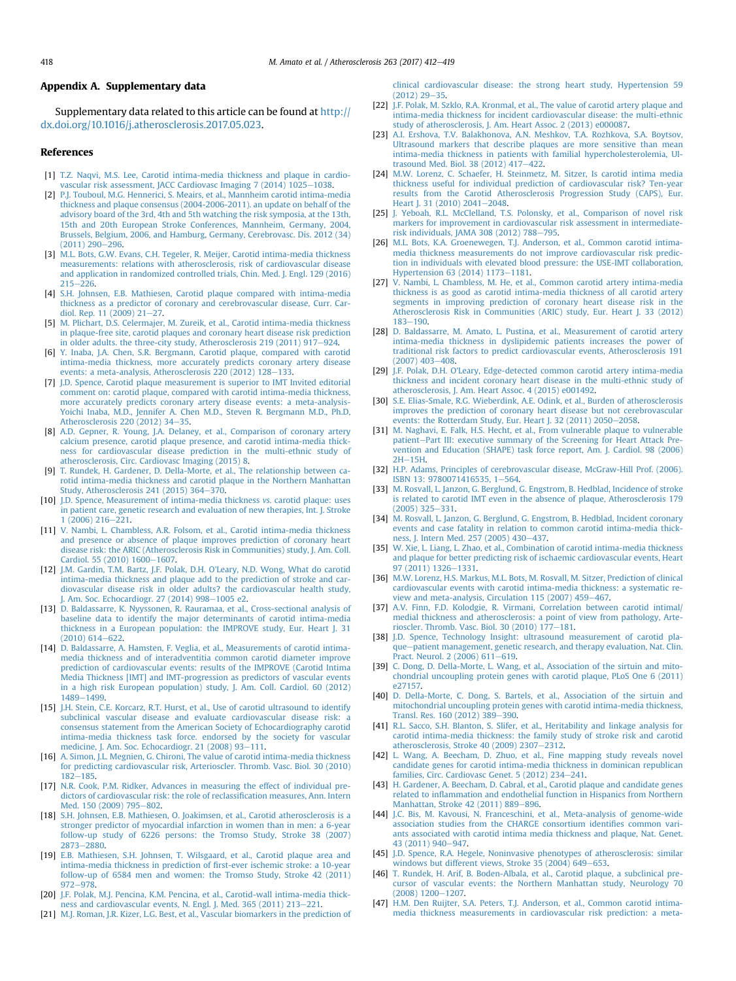## <span id="page-6-0"></span>Appendix A. Supplementary data

Supplementary data related to this article can be found at [http://](http://dx.doi.org/10.1016/j.atherosclerosis.2017.05.023) [dx.doi.org/10.1016/j.atherosclerosis.2017.05.023.](http://dx.doi.org/10.1016/j.atherosclerosis.2017.05.023)

#### References

- [1] [T.Z. Naqvi, M.S. Lee, Carotid intima-media thickness and plaque in cardio](http://refhub.elsevier.com/S0021-9150(17)30226-5/sref1)vascular risk assessment, JACC Cardiovasc Imaging 7  $(2014)$  1025–[1038.](http://refhub.elsevier.com/S0021-9150(17)30226-5/sref1)
- [2] [P.J. Touboul, M.G. Hennerici, S. Meairs, et al., Mannheim carotid intima-media](http://refhub.elsevier.com/S0021-9150(17)30226-5/sref2) [thickness and plaque consensus \(2004-2006-2011\). an update on behalf of the](http://refhub.elsevier.com/S0021-9150(17)30226-5/sref2) [advisory board of the 3rd, 4th and 5th watching the risk symposia, at the 13th,](http://refhub.elsevier.com/S0021-9150(17)30226-5/sref2) [15th and 20th European Stroke Conferences, Mannheim, Germany, 2004,](http://refhub.elsevier.com/S0021-9150(17)30226-5/sref2) [Brussels, Belgium, 2006, and Hamburg, Germany, Cerebrovasc. Dis. 2012 \(34\)](http://refhub.elsevier.com/S0021-9150(17)30226-5/sref2)  $(2011)$  290 $-296$ .
- [3] [M.L. Bots, G.W. Evans, C.H. Tegeler, R. Meijer, Carotid intima-media thickness](http://refhub.elsevier.com/S0021-9150(17)30226-5/sref3) [measurements: relations with atherosclerosis, risk of cardiovascular disease](http://refhub.elsevier.com/S0021-9150(17)30226-5/sref3) [and application in randomized controlled trials, Chin. Med. J. Engl. 129 \(2016\)](http://refhub.elsevier.com/S0021-9150(17)30226-5/sref3)  $215 - 226$  $215 - 226$  $215 - 226$
- [4] [S.H. Johnsen, E.B. Mathiesen, Carotid plaque compared with intima-media](http://refhub.elsevier.com/S0021-9150(17)30226-5/sref4) [thickness as a predictor of coronary and cerebrovascular disease, Curr. Car](http://refhub.elsevier.com/S0021-9150(17)30226-5/sref4)[diol. Rep. 11 \(2009\) 21](http://refhub.elsevier.com/S0021-9150(17)30226-5/sref4)-[27](http://refhub.elsevier.com/S0021-9150(17)30226-5/sref4).
- [5] [M. Plichart, D.S. Celermajer, M. Zureik, et al., Carotid intima-media thickness](http://refhub.elsevier.com/S0021-9150(17)30226-5/sref5) [in plaque-free site, carotid plaques and coronary heart disease risk prediction](http://refhub.elsevier.com/S0021-9150(17)30226-5/sref5) [in older adults. the three-city study, Atherosclerosis 219 \(2011\) 917](http://refhub.elsevier.com/S0021-9150(17)30226-5/sref5)-[924.](http://refhub.elsevier.com/S0021-9150(17)30226-5/sref5)
- [6] [Y. Inaba, J.A. Chen, S.R. Bergmann, Carotid plaque, compared with carotid](http://refhub.elsevier.com/S0021-9150(17)30226-5/sref6) [intima-media thickness, more accurately predicts coronary artery disease](http://refhub.elsevier.com/S0021-9150(17)30226-5/sref6) events: a meta-analysis, Atherosclerosis  $\tilde{220}$  (2012) 128–[133](http://refhub.elsevier.com/S0021-9150(17)30226-5/sref6).
- [7] [J.D. Spence, Carotid plaque measurement is superior to IMT Invited editorial](http://refhub.elsevier.com/S0021-9150(17)30226-5/sref7) [comment on: carotid plaque, compared with carotid intima-media thickness,](http://refhub.elsevier.com/S0021-9150(17)30226-5/sref7) [more accurately predicts coronary artery disease events: a meta-analysis-](http://refhub.elsevier.com/S0021-9150(17)30226-5/sref7)[Yoichi Inaba, M.D., Jennifer A. Chen M.D., Steven R. Bergmann M.D., Ph.D,](http://refhub.elsevier.com/S0021-9150(17)30226-5/sref7) Atherosclerosis  $220(2012)$  34-[35](http://refhub.elsevier.com/S0021-9150(17)30226-5/sref7).
- [8] [A.D. Gepner, R. Young, J.A. Delaney, et al., Comparison of coronary artery](http://refhub.elsevier.com/S0021-9150(17)30226-5/sref8) [calcium presence, carotid plaque presence, and carotid intima-media thick](http://refhub.elsevier.com/S0021-9150(17)30226-5/sref8)[ness for cardiovascular disease prediction in the multi-ethnic study of](http://refhub.elsevier.com/S0021-9150(17)30226-5/sref8) [atherosclerosis, Circ. Cardiovasc Imaging \(2015\) 8.](http://refhub.elsevier.com/S0021-9150(17)30226-5/sref8)
- [9] [T. Rundek, H. Gardener, D. Della-Morte, et al., The relationship between ca](http://refhub.elsevier.com/S0021-9150(17)30226-5/sref9)[rotid intima-media thickness and carotid plaque in the Northern Manhattan](http://refhub.elsevier.com/S0021-9150(17)30226-5/sref9) Study, Atherosclerosis  $241$  (2015) 364-[370.](http://refhub.elsevier.com/S0021-9150(17)30226-5/sref9)
- [10] [J.D. Spence, Measurement of intima-media thickness](http://refhub.elsevier.com/S0021-9150(17)30226-5/sref10) vs. carotid plaque: uses [in patient care, genetic research and evaluation of new therapies, Int. J. Stroke](http://refhub.elsevier.com/S0021-9150(17)30226-5/sref10)  $1(2006)$   $216 - 221$  $216 - 221$ .
- [11] [V. Nambi, L. Chambless, A.R. Folsom, et al., Carotid intima-media thickness](http://refhub.elsevier.com/S0021-9150(17)30226-5/sref11) [and presence or absence of plaque improves prediction of coronary heart](http://refhub.elsevier.com/S0021-9150(17)30226-5/sref11) [disease risk: the ARIC \(Atherosclerosis Risk in Communities\) study, J. Am. Coll.](http://refhub.elsevier.com/S0021-9150(17)30226-5/sref11) [Cardiol. 55 \(2010\) 1600](http://refhub.elsevier.com/S0021-9150(17)30226-5/sref11)-[1607.](http://refhub.elsevier.com/S0021-9150(17)30226-5/sref11)
- [12] [J.M. Gardin, T.M. Bartz, J.F. Polak, D.H. O'Leary, N.D. Wong, What do carotid](http://refhub.elsevier.com/S0021-9150(17)30226-5/sref12) [intima-media thickness and plaque add to the prediction of stroke and car](http://refhub.elsevier.com/S0021-9150(17)30226-5/sref12)[diovascular disease risk in older adults? the cardiovascular health study,](http://refhub.elsevier.com/S0021-9150(17)30226-5/sref12) [J. Am. Soc. Echocardiogr. 27 \(2014\) 998](http://refhub.elsevier.com/S0021-9150(17)30226-5/sref12)–[1005 e2](http://refhub.elsevier.com/S0021-9150(17)30226-5/sref12).
- [13] [D. Baldassarre, K. Nyyssonen, R. Rauramaa, et al., Cross-sectional analysis of](http://refhub.elsevier.com/S0021-9150(17)30226-5/sref13) [baseline data to identify the major determinants of carotid intima-media](http://refhub.elsevier.com/S0021-9150(17)30226-5/sref13) [thickness in a European population: the IMPROVE study, Eur. Heart J. 31](http://refhub.elsevier.com/S0021-9150(17)30226-5/sref13)  $(2010)$  614-[622](http://refhub.elsevier.com/S0021-9150(17)30226-5/sref13)
- [14] [D. Baldassarre, A. Hamsten, F. Veglia, et al., Measurements of carotid intima](http://refhub.elsevier.com/S0021-9150(17)30226-5/sref14)[media thickness and of interadventitia common carotid diameter improve](http://refhub.elsevier.com/S0021-9150(17)30226-5/sref14) [prediction of cardiovascular events: results of the IMPROVE \(Carotid Intima](http://refhub.elsevier.com/S0021-9150(17)30226-5/sref14) [Media Thickness \[IMT\] and IMT-progression as predictors of vascular events](http://refhub.elsevier.com/S0021-9150(17)30226-5/sref14) [in a high risk European population\) study, J. Am. Coll. Cardiol. 60 \(2012\)](http://refhub.elsevier.com/S0021-9150(17)30226-5/sref14) [1489](http://refhub.elsevier.com/S0021-9150(17)30226-5/sref14)-[1499](http://refhub.elsevier.com/S0021-9150(17)30226-5/sref14).
- [15] [J.H. Stein, C.E. Korcarz, R.T. Hurst, et al., Use of carotid ultrasound to identify](http://refhub.elsevier.com/S0021-9150(17)30226-5/sref15) [subclinical vascular disease and evaluate cardiovascular disease risk: a](http://refhub.elsevier.com/S0021-9150(17)30226-5/sref15) [consensus statement from the American Society of Echocardiography carotid](http://refhub.elsevier.com/S0021-9150(17)30226-5/sref15) [intima-media thickness task force. endorsed by the society for vascular](http://refhub.elsevier.com/S0021-9150(17)30226-5/sref15) [medicine, J. Am. Soc. Echocardiogr. 21 \(2008\) 93](http://refhub.elsevier.com/S0021-9150(17)30226-5/sref15)-[111.](http://refhub.elsevier.com/S0021-9150(17)30226-5/sref15)
- [16] [A. Simon, J.L. Megnien, G. Chironi, The value of carotid intima-media thickness](http://refhub.elsevier.com/S0021-9150(17)30226-5/sref16) [for predicting cardiovascular risk, Arterioscler. Thromb. Vasc. Biol. 30 \(2010\)](http://refhub.elsevier.com/S0021-9150(17)30226-5/sref16)  $182 - 185$  $182 - 185$ .
- [17] [N.R. Cook, P.M. Ridker, Advances in measuring the effect of individual pre](http://refhub.elsevier.com/S0021-9150(17)30226-5/sref17)[dictors of cardiovascular risk: the role of reclassi](http://refhub.elsevier.com/S0021-9150(17)30226-5/sref17)fication measures, Ann. Intern [Med. 150 \(2009\) 795](http://refhub.elsevier.com/S0021-9150(17)30226-5/sref17)-[802.](http://refhub.elsevier.com/S0021-9150(17)30226-5/sref17)
- [18] [S.H. Johnsen, E.B. Mathiesen, O. Joakimsen, et al., Carotid atherosclerosis is a](http://refhub.elsevier.com/S0021-9150(17)30226-5/sref18) [stronger predictor of myocardial infarction in women than in men: a 6-year](http://refhub.elsevier.com/S0021-9150(17)30226-5/sref18) [follow-up study of 6226 persons: the Tromso Study, Stroke 38 \(2007\)](http://refhub.elsevier.com/S0021-9150(17)30226-5/sref18) [2873](http://refhub.elsevier.com/S0021-9150(17)30226-5/sref18)-[2880](http://refhub.elsevier.com/S0021-9150(17)30226-5/sref18).
- [19] [E.B. Mathiesen, S.H. Johnsen, T. Wilsgaard, et al., Carotid plaque area and](http://refhub.elsevier.com/S0021-9150(17)30226-5/sref19) [intima-media thickness in prediction of](http://refhub.elsevier.com/S0021-9150(17)30226-5/sref19) first-ever ischemic stroke: a 10-year [follow-up of 6584 men and women: the Tromso Study, Stroke 42 \(2011\)](http://refhub.elsevier.com/S0021-9150(17)30226-5/sref19) [972](http://refhub.elsevier.com/S0021-9150(17)30226-5/sref19)-[978.](http://refhub.elsevier.com/S0021-9150(17)30226-5/sref19)
- [20] [J.F. Polak, M.J. Pencina, K.M. Pencina, et al., Carotid-wall intima-media thick](http://refhub.elsevier.com/S0021-9150(17)30226-5/sref20)[ness and cardiovascular events, N. Engl. J. Med. 365 \(2011\) 213](http://refhub.elsevier.com/S0021-9150(17)30226-5/sref20)-[221.](http://refhub.elsevier.com/S0021-9150(17)30226-5/sref20)
- [21] [M.J. Roman, J.R. Kizer, L.G. Best, et al., Vascular biomarkers in the prediction of](http://refhub.elsevier.com/S0021-9150(17)30226-5/sref21)

[clinical cardiovascular disease: the strong heart study, Hypertension 59](http://refhub.elsevier.com/S0021-9150(17)30226-5/sref21)  $(2012) 29 - 35$  $(2012) 29 - 35$  $(2012) 29 - 35$ 

- [22] [J.F. Polak, M. Szklo, R.A. Kronmal, et al., The value of carotid artery plaque and](http://refhub.elsevier.com/S0021-9150(17)30226-5/sref22) [intima-media thickness for incident cardiovascular disease: the multi-ethnic](http://refhub.elsevier.com/S0021-9150(17)30226-5/sref22) [study of atherosclerosis, J. Am. Heart Assoc. 2 \(2013\) e000087](http://refhub.elsevier.com/S0021-9150(17)30226-5/sref22).
- [23] [A.I. Ershova, T.V. Balakhonova, A.N. Meshkov, T.A. Rozhkova, S.A. Boytsov,](http://refhub.elsevier.com/S0021-9150(17)30226-5/sref23) [Ultrasound markers that describe plaques are more sensitive than mean](http://refhub.elsevier.com/S0021-9150(17)30226-5/sref23) [intima-media thickness in patients with familial hypercholesterolemia, Ul](http://refhub.elsevier.com/S0021-9150(17)30226-5/sref23)trasound Med. Biol. 38  $(2012)$  417-[422.](http://refhub.elsevier.com/S0021-9150(17)30226-5/sref23)
- [24] [M.W. Lorenz, C. Schaefer, H. Steinmetz, M. Sitzer, Is carotid intima media](http://refhub.elsevier.com/S0021-9150(17)30226-5/sref24) [thickness useful for individual prediction of cardiovascular risk? Ten-year](http://refhub.elsevier.com/S0021-9150(17)30226-5/sref24) [results from the Carotid Atherosclerosis Progression Study \(CAPS\), Eur.](http://refhub.elsevier.com/S0021-9150(17)30226-5/sref24) Heart I. 31 (2010) 2041-[2048](http://refhub.elsevier.com/S0021-9150(17)30226-5/sref24).
- [25] [J. Yeboah, R.L. McClelland, T.S. Polonsky, et al., Comparison of novel risk](http://refhub.elsevier.com/S0021-9150(17)30226-5/sref25) [markers for improvement in cardiovascular risk assessment in intermediate](http://refhub.elsevier.com/S0021-9150(17)30226-5/sref25)risk individuals, JAMA 308  $(2012)$  788-[795](http://refhub.elsevier.com/S0021-9150(17)30226-5/sref25).
- [26] [M.L. Bots, K.A. Groenewegen, T.J. Anderson, et al., Common carotid intima](http://refhub.elsevier.com/S0021-9150(17)30226-5/sref26)[media thickness measurements do not improve cardiovascular risk predic](http://refhub.elsevier.com/S0021-9150(17)30226-5/sref26)[tion in individuals with elevated blood pressure: the USE-IMT collaboration,](http://refhub.elsevier.com/S0021-9150(17)30226-5/sref26) [Hypertension 63 \(2014\) 1173](http://refhub.elsevier.com/S0021-9150(17)30226-5/sref26)-[1181.](http://refhub.elsevier.com/S0021-9150(17)30226-5/sref26)
- [27] [V. Nambi, L. Chambless, M. He, et al., Common carotid artery intima-media](http://refhub.elsevier.com/S0021-9150(17)30226-5/sref27) [thickness is as good as carotid intima-media thickness of all carotid artery](http://refhub.elsevier.com/S0021-9150(17)30226-5/sref27) [segments in improving prediction of coronary heart disease risk in the](http://refhub.elsevier.com/S0021-9150(17)30226-5/sref27) [Atherosclerosis Risk in Communities \(ARIC\) study, Eur. Heart J. 33 \(2012\)](http://refhub.elsevier.com/S0021-9150(17)30226-5/sref27) [183](http://refhub.elsevier.com/S0021-9150(17)30226-5/sref27)-190
- [28] [D. Baldassarre, M. Amato, L. Pustina, et al., Measurement of carotid artery](http://refhub.elsevier.com/S0021-9150(17)30226-5/sref28) [intima-media thickness in dyslipidemic patients increases the power of](http://refhub.elsevier.com/S0021-9150(17)30226-5/sref28) [traditional risk factors to predict cardiovascular events, Atherosclerosis 191](http://refhub.elsevier.com/S0021-9150(17)30226-5/sref28)  $(2007)$   $403 - 408$  $403 - 408$
- [29] [J.F. Polak, D.H. O'Leary, Edge-detected common carotid artery intima-media](http://refhub.elsevier.com/S0021-9150(17)30226-5/sref29) [thickness and incident coronary heart disease in the multi-ethnic study of](http://refhub.elsevier.com/S0021-9150(17)30226-5/sref29) [atherosclerosis, J. Am. Heart Assoc. 4 \(2015\) e001492](http://refhub.elsevier.com/S0021-9150(17)30226-5/sref29).
- [30] [S.E. Elias-Smale, R.G. Wieberdink, A.E. Odink, et al., Burden of atherosclerosis](http://refhub.elsevier.com/S0021-9150(17)30226-5/sref30) [improves the prediction of coronary heart disease but not cerebrovascular](http://refhub.elsevier.com/S0021-9150(17)30226-5/sref30) [events: the Rotterdam Study, Eur. Heart J. 32 \(2011\) 2050](http://refhub.elsevier.com/S0021-9150(17)30226-5/sref30)-[2058](http://refhub.elsevier.com/S0021-9150(17)30226-5/sref30).
- [31] [M. Naghavi, E. Falk, H.S. Hecht, et al., From vulnerable plaque to vulnerable](http://refhub.elsevier.com/S0021-9150(17)30226-5/sref31) [patient](http://refhub.elsevier.com/S0021-9150(17)30226-5/sref31)-[Part III: executive summary of the Screening for Heart Attack Pre](http://refhub.elsevier.com/S0021-9150(17)30226-5/sref31)[vention and Education \(SHAPE\) task force report, Am. J. Cardiol. 98 \(2006\)](http://refhub.elsevier.com/S0021-9150(17)30226-5/sref31)  $2H-15H$  $2H-15H$  $2H-15H$
- [32] [H.P. Adams, Principles of cerebrovascular disease, McGraw-Hill Prof. \(2006\).](http://refhub.elsevier.com/S0021-9150(17)30226-5/sref32) [ISBN 13: 9780071416535, 1](http://refhub.elsevier.com/S0021-9150(17)30226-5/sref32)-[564.](http://refhub.elsevier.com/S0021-9150(17)30226-5/sref32)
- [33] [M. Rosvall, L. Janzon, G. Berglund, G. Engstrom, B. Hedblad, Incidence of stroke](http://refhub.elsevier.com/S0021-9150(17)30226-5/sref33) [is related to carotid IMT even in the absence of plaque, Atherosclerosis 179](http://refhub.elsevier.com/S0021-9150(17)30226-5/sref33)  $(2005)$  325-[331](http://refhub.elsevier.com/S0021-9150(17)30226-5/sref33).
- [34] [M. Rosvall, L. Janzon, G. Berglund, G. Engstrom, B. Hedblad, Incident coronary](http://refhub.elsevier.com/S0021-9150(17)30226-5/sref34) [events and case fatality in relation to common carotid intima-media thick](http://refhub.elsevier.com/S0021-9150(17)30226-5/sref34)[ness, J. Intern Med. 257 \(2005\) 430](http://refhub.elsevier.com/S0021-9150(17)30226-5/sref34)-[437](http://refhub.elsevier.com/S0021-9150(17)30226-5/sref34).
- [35] [W. Xie, L. Liang, L. Zhao, et al., Combination of carotid intima-media thickness](http://refhub.elsevier.com/S0021-9150(17)30226-5/sref35) [and plaque for better predicting risk of ischaemic cardiovascular events, Heart](http://refhub.elsevier.com/S0021-9150(17)30226-5/sref35)  $97(2011) 1326 - 1331.$  $97(2011) 1326 - 1331.$  $97(2011) 1326 - 1331.$
- [36] [M.W. Lorenz, H.S. Markus, M.L. Bots, M. Rosvall, M. Sitzer, Prediction of clinical](http://refhub.elsevier.com/S0021-9150(17)30226-5/sref36) [cardiovascular events with carotid intima-media thickness: a systematic re](http://refhub.elsevier.com/S0021-9150(17)30226-5/sref36)[view and meta-analysis, Circulation 115 \(2007\) 459](http://refhub.elsevier.com/S0021-9150(17)30226-5/sref36)-[467](http://refhub.elsevier.com/S0021-9150(17)30226-5/sref36).
- [37] [A.V. Finn, F.D. Kolodgie, R. Virmani, Correlation between carotid intimal/](http://refhub.elsevier.com/S0021-9150(17)30226-5/sref37) [medial thickness and atherosclerosis: a point of view from pathology, Arte](http://refhub.elsevier.com/S0021-9150(17)30226-5/sref37)rioscler. Thromb. Vasc. Biol. 30  $(2010)$   $177-181$  $177-181$ .
- [38] [J.D. Spence, Technology Insight: ultrasound measurement of carotid pla](http://refhub.elsevier.com/S0021-9150(17)30226-5/sref38)[que](http://refhub.elsevier.com/S0021-9150(17)30226-5/sref38)-[patient management, genetic research, and therapy evaluation, Nat. Clin.](http://refhub.elsevier.com/S0021-9150(17)30226-5/sref38) [Pract. Neurol. 2 \(2006\) 611](http://refhub.elsevier.com/S0021-9150(17)30226-5/sref38)-[619](http://refhub.elsevier.com/S0021-9150(17)30226-5/sref38).
- [39] [C. Dong, D. Della-Morte, L. Wang, et al., Association of the sirtuin and mito](http://refhub.elsevier.com/S0021-9150(17)30226-5/sref39)[chondrial uncoupling protein genes with carotid plaque, PLoS One 6 \(2011\)](http://refhub.elsevier.com/S0021-9150(17)30226-5/sref39) [e27157](http://refhub.elsevier.com/S0021-9150(17)30226-5/sref39).
- [40] [D. Della-Morte, C. Dong, S. Bartels, et al., Association of the sirtuin and](http://refhub.elsevier.com/S0021-9150(17)30226-5/sref40) [mitochondrial uncoupling protein genes with carotid intima-media thickness,](http://refhub.elsevier.com/S0021-9150(17)30226-5/sref40) [Transl. Res. 160 \(2012\) 389](http://refhub.elsevier.com/S0021-9150(17)30226-5/sref40)-[390](http://refhub.elsevier.com/S0021-9150(17)30226-5/sref40).
- [41] [R.L. Sacco, S.H. Blanton, S. Slifer, et al., Heritability and linkage analysis for](http://refhub.elsevier.com/S0021-9150(17)30226-5/sref41) [carotid intima-media thickness: the family study of stroke risk and carotid](http://refhub.elsevier.com/S0021-9150(17)30226-5/sref41) atherosclerosis, Stroke  $40$  (2009) 2307-[2312](http://refhub.elsevier.com/S0021-9150(17)30226-5/sref41).
- [42] [L. Wang, A. Beecham, D. Zhuo, et al., Fine mapping study reveals novel](http://refhub.elsevier.com/S0021-9150(17)30226-5/sref42) [candidate genes for carotid intima-media thickness in dominican republican](http://refhub.elsevier.com/S0021-9150(17)30226-5/sref42) [families, Circ. Cardiovasc Genet. 5 \(2012\) 234](http://refhub.elsevier.com/S0021-9150(17)30226-5/sref42)-[241](http://refhub.elsevier.com/S0021-9150(17)30226-5/sref42).
- [43] [H. Gardener, A. Beecham, D. Cabral, et al., Carotid plaque and candidate genes](http://refhub.elsevier.com/S0021-9150(17)30226-5/sref43) related to infl[ammation and endothelial function in Hispanics from Northern](http://refhub.elsevier.com/S0021-9150(17)30226-5/sref43) [Manhattan, Stroke 42 \(2011\) 889](http://refhub.elsevier.com/S0021-9150(17)30226-5/sref43)-[896](http://refhub.elsevier.com/S0021-9150(17)30226-5/sref43).
- [44] [J.C. Bis, M. Kavousi, N. Franceschini, et al., Meta-analysis of genome-wide](http://refhub.elsevier.com/S0021-9150(17)30226-5/sref44) [association studies from the CHARGE consortium identi](http://refhub.elsevier.com/S0021-9150(17)30226-5/sref44)fies common vari[ants associated with carotid intima media thickness and plaque, Nat. Genet.](http://refhub.elsevier.com/S0021-9150(17)30226-5/sref44) [43 \(2011\) 940](http://refhub.elsevier.com/S0021-9150(17)30226-5/sref44)-[947.](http://refhub.elsevier.com/S0021-9150(17)30226-5/sref44)
- [45] [J.D. Spence, R.A. Hegele, Noninvasive phenotypes of atherosclerosis: similar](http://refhub.elsevier.com/S0021-9150(17)30226-5/sref45) windows but different views, Stroke  $35(2004)$  649-[653](http://refhub.elsevier.com/S0021-9150(17)30226-5/sref45).
- [46] [T. Rundek, H. Arif, B. Boden-Albala, et al., Carotid plaque, a subclinical pre](http://refhub.elsevier.com/S0021-9150(17)30226-5/sref46)[cursor of vascular events: the Northern Manhattan study, Neurology 70](http://refhub.elsevier.com/S0021-9150(17)30226-5/sref46)  $(2008)$  1200 $-1207$ .
- [47] [H.M. Den Ruijter, S.A. Peters, T.J. Anderson, et al., Common carotid intima](http://refhub.elsevier.com/S0021-9150(17)30226-5/sref47)[media thickness measurements in cardiovascular risk prediction: a meta-](http://refhub.elsevier.com/S0021-9150(17)30226-5/sref47)